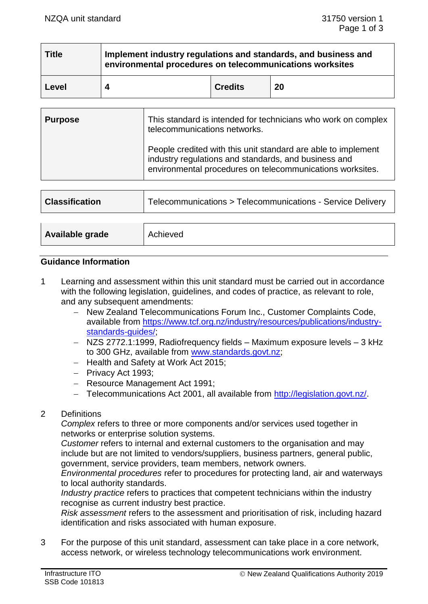| <b>Title</b> | Implement industry regulations and standards, and business and<br>environmental procedures on telecommunications worksites |                |    |  |
|--------------|----------------------------------------------------------------------------------------------------------------------------|----------------|----|--|
| Level        |                                                                                                                            | <b>Credits</b> | 20 |  |

| <b>Purpose</b> | This standard is intended for technicians who work on complex<br>telecommunications networks.                                                                                      |  |
|----------------|------------------------------------------------------------------------------------------------------------------------------------------------------------------------------------|--|
|                | People credited with this unit standard are able to implement<br>industry regulations and standards, and business and<br>environmental procedures on telecommunications worksites. |  |

| <b>Classification</b> | Telecommunications > Telecommunications - Service Delivery |
|-----------------------|------------------------------------------------------------|
|                       |                                                            |
| Available grade       | Achieved                                                   |

#### **Guidance Information**

- 1 Learning and assessment within this unit standard must be carried out in accordance with the following legislation, guidelines, and codes of practice, as relevant to role, and any subsequent amendments:
	- − New Zealand Telecommunications Forum Inc., Customer Complaints Code, available from [https://www.tcf.org.nz/industry/resources/publications/industry](https://www.tcf.org.nz/industry/resources/publications/industry-standards-guides/)[standards-guides/;](https://www.tcf.org.nz/industry/resources/publications/industry-standards-guides/)
	- − NZS 2772.1:1999, Radiofrequency fields Maximum exposure levels 3 kHz to 300 GHz, available from [www.standards.govt.nz;](http://www.standards.govt.nz/)
	- − Health and Safety at Work Act 2015;
	- − Privacy Act 1993;
	- − Resource Management Act 1991;
	- − Telecommunications Act 2001, all available from [http://legislation.govt.nz/.](http://legislation.govt.nz/)
- 2 Definitions

*Complex* refers to three or more components and/or services used together in networks or enterprise solution systems.

*Customer* refers to internal and external customers to the organisation and may include but are not limited to vendors/suppliers, business partners, general public, government, service providers, team members, network owners.

*Environmental procedures* refer to procedures for protecting land, air and waterways to local authority standards.

*Industry practice* refers to practices that competent technicians within the industry recognise as current industry best practice.

*Risk assessment* refers to the assessment and prioritisation of risk, including hazard identification and risks associated with human exposure.

3 For the purpose of this unit standard, assessment can take place in a core network, access network, or wireless technology telecommunications work environment.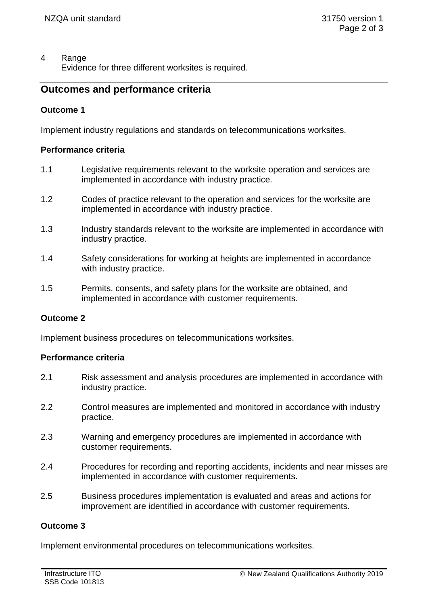# 4 Range

Evidence for three different worksites is required.

## **Outcomes and performance criteria**

## **Outcome 1**

Implement industry regulations and standards on telecommunications worksites.

## **Performance criteria**

- 1.1 Legislative requirements relevant to the worksite operation and services are implemented in accordance with industry practice.
- 1.2 Codes of practice relevant to the operation and services for the worksite are implemented in accordance with industry practice.
- 1.3 Industry standards relevant to the worksite are implemented in accordance with industry practice.
- 1.4 Safety considerations for working at heights are implemented in accordance with industry practice.
- 1.5 Permits, consents, and safety plans for the worksite are obtained, and implemented in accordance with customer requirements.

## **Outcome 2**

Implement business procedures on telecommunications worksites.

## **Performance criteria**

- 2.1 Risk assessment and analysis procedures are implemented in accordance with industry practice.
- 2.2 Control measures are implemented and monitored in accordance with industry practice.
- 2.3 Warning and emergency procedures are implemented in accordance with customer requirements.
- 2.4 Procedures for recording and reporting accidents, incidents and near misses are implemented in accordance with customer requirements.
- 2.5 Business procedures implementation is evaluated and areas and actions for improvement are identified in accordance with customer requirements.

## **Outcome 3**

Implement environmental procedures on telecommunications worksites.